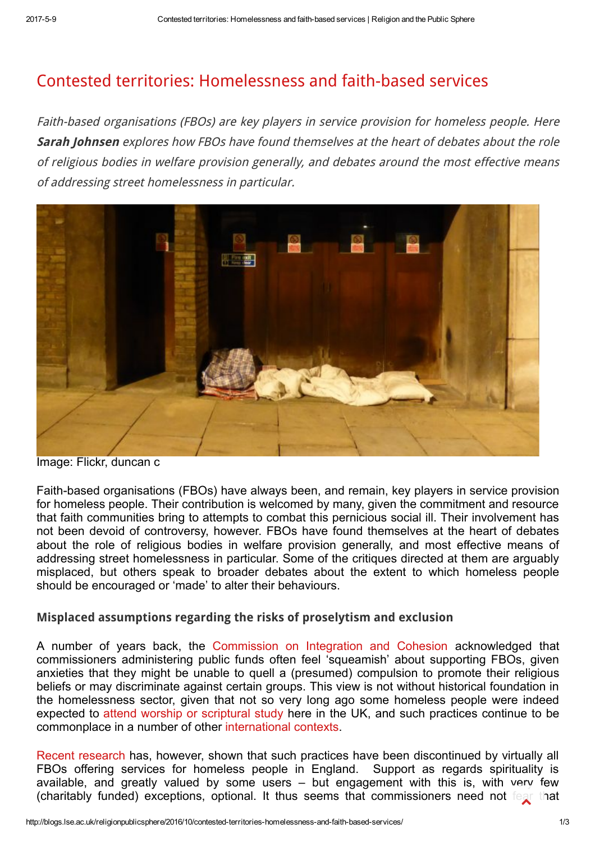## Contested territories: [Homelessness](http://blogs.lse.ac.uk/religionpublicsphere/2016/10/contested-territories-homelessness-and-faith-based-services/) and faith-based services

Faith-based organisations (FBOs) are key players in service provision for homeless people. Here Sarah Johnsen explores how FBOs have found themselves at the heart of debates about the role of religious bodies in welfare provision generally, and debates around the most effective means of addressing street homelessness in particular.



Image: Flickr, duncan c

Faith-based organisations (FBOs) have always been, and remain, key players in service provision for homeless people. Their contribution is welcomed by many, given the commitment and resource that faith communities bring to attempts to combat this pernicious social ill. Their involvement has not been devoid of controversy, however. FBOs have found themselves at the heart of debates about the role of religious bodies in welfare provision generally, and most effective means of addressing street homelessness in particular. Some of the critiques directed at them are arguably misplaced, but others speak to broader debates about the extent to which homeless people should be encouraged or 'made' to alter their behaviours.

## Misplaced assumptions regarding the risks of proselytism and exclusion

A number of years back, the [Commission](http://resources.cohesioninstitute.org.uk/Publications/Documents/Document/Default.aspx?recordId=18) on Integration and Cohesion acknowledged that commissioners administering public funds often feel 'squeamish' about supporting FBOs, given anxieties that they might be unable to quell a (presumed) compulsion to promote their religious beliefs or may discriminate against certain groups. This view is not without historical foundation in the homelessness sector, given that not so very long ago some homeless people were indeed expected to attend worship or [scriptural](https://www.york.ac.uk/media/chp/documents/2009/The%20Role%20of%20Faith-Based%20Organisations.pdf) study here in the UK, and such practices continue to be commonplace in a number of other [international](https://pureapps2.hw.ac.uk/portal/files/6324914/JSP_WheresTheFaith.pdf) contexts.

Recent [research](http://gtr.rcuk.ac.uk/projects?ref=AH/F007647/1) has, however, shown that such practices have been discontinued by virtually all FBOs offering services for homeless people in England. Support as regards spirituality is available, and greatly valued by some users – but engagement with this is, with very few (charitably funded) exceptions, optional. It thus seems that commissioners need not fear that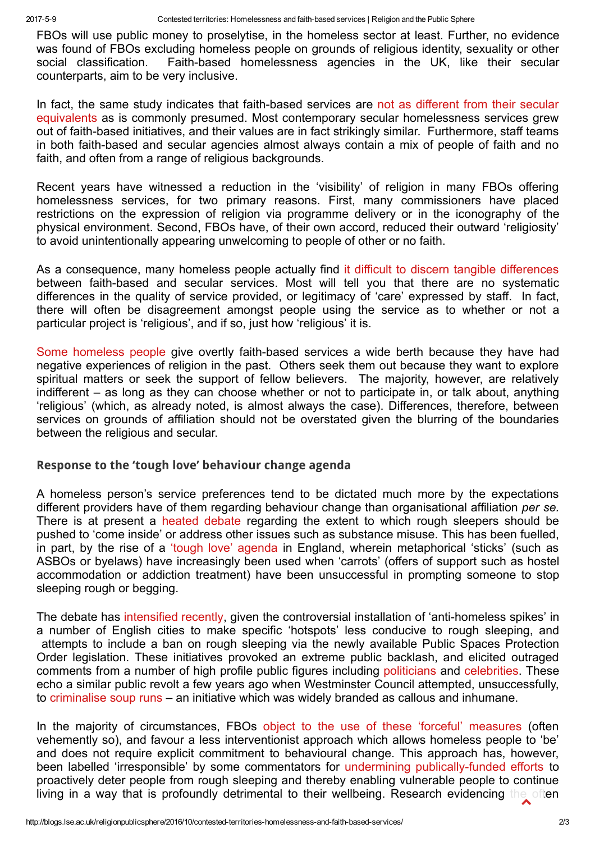FBOs will use public money to proselytise, in the homeless sector at least. Further, no evidence was found of FBOs excluding homeless people on grounds of religious identity, sexuality or other social classification. Faith-based homelessness agencies in the UK, like their secular counterparts, aim to be very inclusive.

In fact, the same study indicates that faith-based services are not as different from their secular equivalents as is commonly presumed. Most contemporary secular [homelessness](https://pureapps2.hw.ac.uk/portal/files/6324914/JSP_WheresTheFaith.pdf) services grew out of faith-based initiatives, and their values are in fact strikingly similar. Furthermore, staff teams in both faith-based and secular agencies almost always contain a mix of people of faith and no faith, and often from a range of religious backgrounds.

Recent years have witnessed a reduction in the 'visibility' of religion in many FBOs offering homelessness services, for two primary reasons. First, many commissioners have placed restrictions on the expression of religion via programme delivery or in the iconography of the physical environment. Second, FBOs have, of their own accord, reduced their outward 'religiosity' to avoid unintentionally appearing unwelcoming to people of other or no faith.

As a consequence, many homeless people actually find it difficult to discern tangible [differences](https://www.york.ac.uk/media/chp/documents/2009/The%20Role%20of%20Faith-Based%20Organisations.pdf) between faith-based and secular services. Most will tell you that there are no systematic differences in the quality of service provided, or legitimacy of 'care' expressed by staff. In fact, there will often be disagreement amongst people using the service as to whether or not a particular project is 'religious', and if so, just how 'religious' it is.

Some [homeless](https://www.york.ac.uk/media/chp/documents/2009/The%20Role%20of%20Faith-Based%20Organisations.pdf) people give overtly faith-based services a wide berth because they have had negative experiences of religion in the past. Others seek them out because they want to explore spiritual matters or seek the support of fellow believers. The majority, however, are relatively indifferent – as long as they can choose whether or not to participate in, or talk about, anything 'religious' (which, as already noted, is almost always the case). Differences, therefore, between services on grounds of affiliation should not be overstated given the blurring of the boundaries between the religious and secular.

## Response to the 'tough love' behaviour change agenda

A homeless person's service preferences tend to be dictated much more by the expectations different providers have of them regarding behaviour change than organisational affiliation per se. There is at present a heated [debate](http://www.welfareconditionality.ac.uk/wp-content/uploads/2014/09/Briefing_Homelessness_14.09.10_FINAL.pdf) regarding the extent to which rough sleepers should be pushed to 'come inside' or address other issues such as substance misuse. This has been fuelled, in part, by the rise of a 'tough love' [agenda](https://www.jrf.org.uk/report/impact-enforcement-street-users-england) in England, wherein metaphorical 'sticks' (such as ASBOs or byelaws) have increasingly been used when 'carrots' (offers of support such as hostel accommodation or addiction treatment) have been unsuccessful in prompting someone to stop sleeping rough or begging.

The debate has [intensified](https://i-sphere.org/2015/11/09/public-spaces-protection-orders-rough-sleepers-and-media-storms/) recently, given the controversial installation of 'anti-homeless spikes' in a number of English cities to make specific 'hotspots' less conducive to rough sleeping, and attempts to include a ban on rough sleeping via the newly available Public Spaces Protection Order legislation. These initiatives provoked an extreme public backlash, and elicited outraged comments from a number of high profile public figures including [politicians](https://www.theguardian.com/society/2014/jun/09/boris-johnson-calls-removal-anti-homeless-spikes) and [celebrities](http://www.standard.co.uk/news/celebritynews/ellie-goulding-hits-out-at-disgusting-hackney-council-policy-that-treats-rough-sleepers-as-criminals-10297944.html). These echo a similar public revolt a few years ago when Westminster Council attempted, unsuccessfully, to [criminalise](https://www.theguardian.com/society/2011/nov/02/westminster-council-homeless-soup) soup runs – an initiative which was widely branded as callous and inhumane.

In the majority of circumstances, FBOs object to the use of these 'forceful' [measures](http://www.housingjustice.org.uk/data/files/Campaigns/UKCRP/UKCRP.Report.Web.pdf) (often vehemently so), and favour a less interventionist approach which allows homeless people to 'be' and does not require explicit commitment to behavioural change. This approach has, however, been labelled 'irresponsible' by some commentators for undermining publically-funded efforts to proactively deter people from rough sleeping and thereby enabling vulnerable people to continue living in a way that is profoundly detrimental to their wellbeing. Research evidencing the often